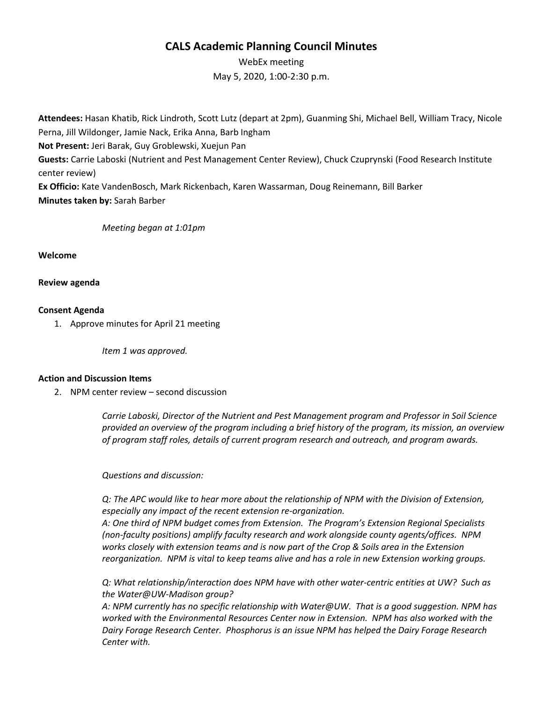# **CALS Academic Planning Council Minutes**

WebEx meeting May 5, 2020, 1:00-2:30 p.m.

**Attendees:** Hasan Khatib, Rick Lindroth, Scott Lutz (depart at 2pm), Guanming Shi, Michael Bell, William Tracy, Nicole Perna, Jill Wildonger, Jamie Nack, Erika Anna, Barb Ingham **Not Present:** Jeri Barak, Guy Groblewski, Xuejun Pan **Guests:** Carrie Laboski (Nutrient and Pest Management Center Review), Chuck Czuprynski (Food Research Institute center review) **Ex Officio:** Kate VandenBosch, Mark Rickenbach, Karen Wassarman, Doug Reinemann, Bill Barker **Minutes taken by:** Sarah Barber

# *Meeting began at 1:01pm*

**Welcome**

**Review agenda**

## **Consent Agenda**

1. Approve minutes for April 21 meeting

*Item 1 was approved.*

#### **Action and Discussion Items**

2. NPM center review – second discussion

*Carrie Laboski, Director of the Nutrient and Pest Management program and Professor in Soil Science provided an overview of the program including a brief history of the program, its mission, an overview of program staff roles, details of current program research and outreach, and program awards.* 

*Questions and discussion:*

*Q: The APC would like to hear more about the relationship of NPM with the Division of Extension, especially any impact of the recent extension re-organization.*

*A: One third of NPM budget comes from Extension. The Program's Extension Regional Specialists (non-faculty positions) amplify faculty research and work alongside county agents/offices. NPM works closely with extension teams and is now part of the Crop & Soils area in the Extension reorganization. NPM is vital to keep teams alive and has a role in new Extension working groups.*

*Q: What relationship/interaction does NPM have with other water-centric entities at UW? Such as the Water@UW-Madison group?*

*A: NPM currently has no specific relationship with Water@UW. That is a good suggestion. NPM has worked with the Environmental Resources Center now in Extension. NPM has also worked with the Dairy Forage Research Center. Phosphorus is an issue NPM has helped the Dairy Forage Research Center with.*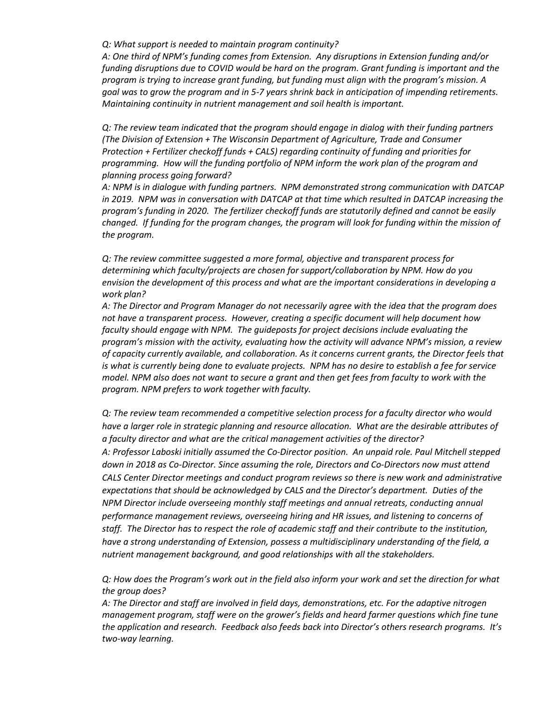#### *Q: What support is needed to maintain program continuity?*

*A: One third of NPM's funding comes from Extension. Any disruptions in Extension funding and/or funding disruptions due to COVID would be hard on the program. Grant funding is important and the program is trying to increase grant funding, but funding must align with the program's mission. A goal was to grow the program and in 5-7 years shrink back in anticipation of impending retirements. Maintaining continuity in nutrient management and soil health is important.* 

*Q: The review team indicated that the program should engage in dialog with their funding partners (The Division of Extension + The Wisconsin Department of Agriculture, Trade and Consumer Protection + Fertilizer checkoff funds + CALS) regarding continuity of funding and priorities for programming. How will the funding portfolio of NPM inform the work plan of the program and planning process going forward?*

*A: NPM is in dialogue with funding partners. NPM demonstrated strong communication with DATCAP in 2019. NPM was in conversation with DATCAP at that time which resulted in DATCAP increasing the program's funding in 2020. The fertilizer checkoff funds are statutorily defined and cannot be easily changed. If funding for the program changes, the program will look for funding within the mission of the program.*

*Q: The review committee suggested a more formal, objective and transparent process for determining which faculty/projects are chosen for support/collaboration by NPM. How do you envision the development of this process and what are the important considerations in developing a work plan?*

*A: The Director and Program Manager do not necessarily agree with the idea that the program does not have a transparent process. However, creating a specific document will help document how faculty should engage with NPM. The guideposts for project decisions include evaluating the program's mission with the activity, evaluating how the activity will advance NPM's mission, a review of capacity currently available, and collaboration. As it concerns current grants, the Director feels that is what is currently being done to evaluate projects. NPM has no desire to establish a fee for service model. NPM also does not want to secure a grant and then get fees from faculty to work with the program. NPM prefers to work together with faculty.* 

*Q: The review team recommended a competitive selection process for a faculty director who would have a larger role in strategic planning and resource allocation. What are the desirable attributes of a faculty director and what are the critical management activities of the director? A: Professor Laboski initially assumed the Co-Director position. An unpaid role. Paul Mitchell stepped down in 2018 as Co-Director. Since assuming the role, Directors and Co-Directors now must attend CALS Center Director meetings and conduct program reviews so there is new work and administrative expectations that should be acknowledged by CALS and the Director's department. Duties of the NPM Director include overseeing monthly staff meetings and annual retreats, conducting annual performance management reviews, overseeing hiring and HR issues, and listening to concerns of staff. The Director has to respect the role of academic staff and their contribute to the institution, have a strong understanding of Extension, possess a multidisciplinary understanding of the field, a nutrient management background, and good relationships with all the stakeholders.* 

*Q: How does the Program's work out in the field also inform your work and set the direction for what the group does?* 

*A: The Director and staff are involved in field days, demonstrations, etc. For the adaptive nitrogen management program, staff were on the grower's fields and heard farmer questions which fine tune the application and research. Feedback also feeds back into Director's others research programs. It's two-way learning.*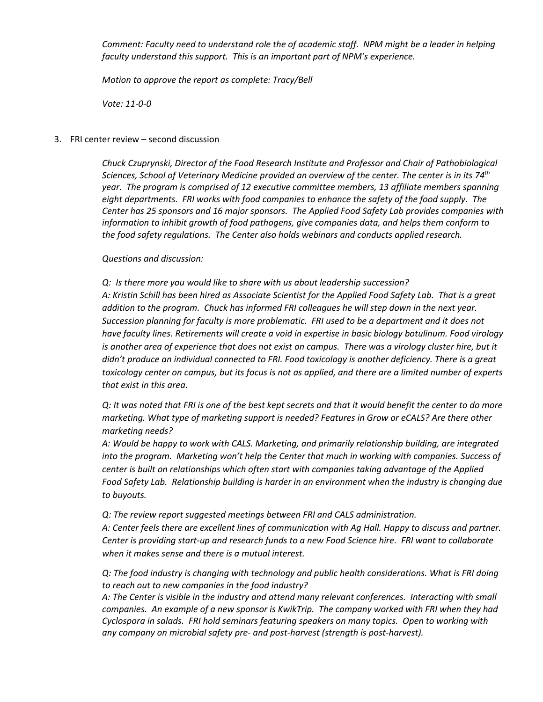*Comment: Faculty need to understand role the of academic staff. NPM might be a leader in helping faculty understand this support. This is an important part of NPM's experience.*

*Motion to approve the report as complete: Tracy/Bell* 

*Vote: 11-0-0*

## 3. FRI center review – second discussion

*Chuck Czuprynski, Director of the Food Research Institute and Professor and Chair of Pathobiological Sciences, School of Veterinary Medicine provided an overview of the center. The center is in its 74th year. The program is comprised of 12 executive committee members, 13 affiliate members spanning eight departments. FRI works with food companies to enhance the safety of the food supply. The Center has 25 sponsors and 16 major sponsors. The Applied Food Safety Lab provides companies with information to inhibit growth of food pathogens, give companies data, and helps them conform to the food safety regulations. The Center also holds webinars and conducts applied research.*

*Questions and discussion:*

*Q: Is there more you would like to share with us about leadership succession? A: Kristin Schill has been hired as Associate Scientist for the Applied Food Safety Lab. That is a great addition to the program. Chuck has informed FRI colleagues he will step down in the next year. Succession planning for faculty is more problematic. FRI used to be a department and it does not have faculty lines. Retirements will create a void in expertise in basic biology botulinum. Food virology is another area of experience that does not exist on campus. There was a virology cluster hire, but it didn't produce an individual connected to FRI. Food toxicology is another deficiency. There is a great toxicology center on campus, but its focus is not as applied, and there are a limited number of experts that exist in this area.* 

*Q: It was noted that FRI is one of the best kept secrets and that it would benefit the center to do more marketing. What type of marketing support is needed? Features in Grow or eCALS? Are there other marketing needs?* 

*A: Would be happy to work with CALS. Marketing, and primarily relationship building, are integrated into the program. Marketing won't help the Center that much in working with companies. Success of center is built on relationships which often start with companies taking advantage of the Applied Food Safety Lab. Relationship building is harder in an environment when the industry is changing due to buyouts.*

*Q: The review report suggested meetings between FRI and CALS administration.* 

*A: Center feels there are excellent lines of communication with Ag Hall. Happy to discuss and partner. Center is providing start-up and research funds to a new Food Science hire. FRI want to collaborate when it makes sense and there is a mutual interest.* 

*Q: The food industry is changing with technology and public health considerations. What is FRI doing to reach out to new companies in the food industry?* 

*A: The Center is visible in the industry and attend many relevant conferences. Interacting with small companies. An example of a new sponsor is KwikTrip. The company worked with FRI when they had Cyclospora in salads. FRI hold seminars featuring speakers on many topics. Open to working with any company on microbial safety pre- and post-harvest (strength is post-harvest).*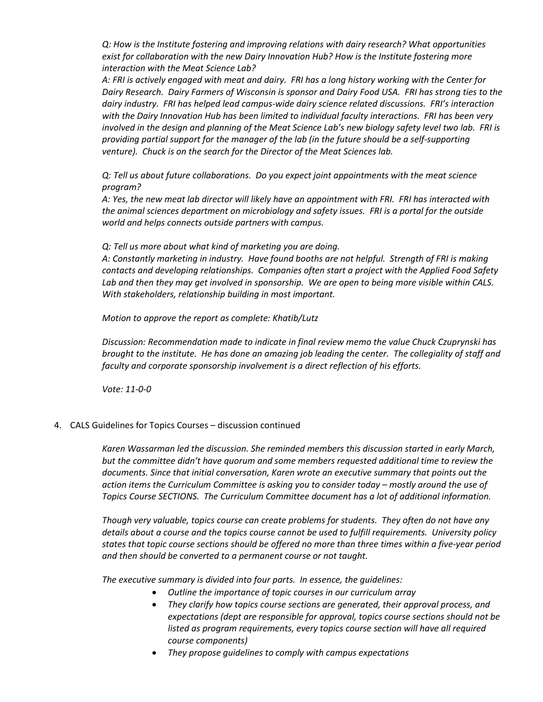*Q: How is the Institute fostering and improving relations with dairy research? What opportunities exist for collaboration with the new Dairy Innovation Hub? How is the Institute fostering more interaction with the Meat Science Lab?*

*A: FRI is actively engaged with meat and dairy. FRI has a long history working with the Center for Dairy Research. Dairy Farmers of Wisconsin is sponsor and Dairy Food USA. FRI has strong ties to the dairy industry. FRI has helped lead campus-wide dairy science related discussions. FRI's interaction with the Dairy Innovation Hub has been limited to individual faculty interactions. FRI has been very involved in the design and planning of the Meat Science Lab's new biology safety level two lab. FRI is providing partial support for the manager of the lab (in the future should be a self-supporting venture). Chuck is on the search for the Director of the Meat Sciences lab.* 

*Q: Tell us about future collaborations. Do you expect joint appointments with the meat science program?*

*A: Yes, the new meat lab director will likely have an appointment with FRI. FRI has interacted with the animal sciences department on microbiology and safety issues. FRI is a portal for the outside world and helps connects outside partners with campus.* 

*Q: Tell us more about what kind of marketing you are doing.* 

*A: Constantly marketing in industry. Have found booths are not helpful. Strength of FRI is making contacts and developing relationships. Companies often start a project with the Applied Food Safety Lab and then they may get involved in sponsorship. We are open to being more visible within CALS. With stakeholders, relationship building in most important.* 

*Motion to approve the report as complete: Khatib/Lutz*

*Discussion: Recommendation made to indicate in final review memo the value Chuck Czuprynski has brought to the institute. He has done an amazing job leading the center. The collegiality of staff and faculty and corporate sponsorship involvement is a direct reflection of his efforts.* 

*Vote: 11-0-0*

4. CALS Guidelines for Topics Courses – discussion continued

*Karen Wassarman led the discussion. She reminded members this discussion started in early March, but the committee didn't have quorum and some members requested additional time to review the documents. Since that initial conversation, Karen wrote an executive summary that points out the action items the Curriculum Committee is asking you to consider today – mostly around the use of Topics Course SECTIONS. The Curriculum Committee document has a lot of additional information.* 

*Though very valuable, topics course can create problems for students. They often do not have any details about a course and the topics course cannot be used to fulfill requirements. University policy states that topic course sections should be offered no more than three times within a five-year period and then should be converted to a permanent course or not taught.*

*The executive summary is divided into four parts. In essence, the guidelines:* 

- *Outline the importance of topic courses in our curriculum array*
- *They clarify how topics course sections are generated, their approval process, and expectations (dept are responsible for approval, topics course sections should not be listed as program requirements, every topics course section will have all required course components)*
- *They propose guidelines to comply with campus expectations*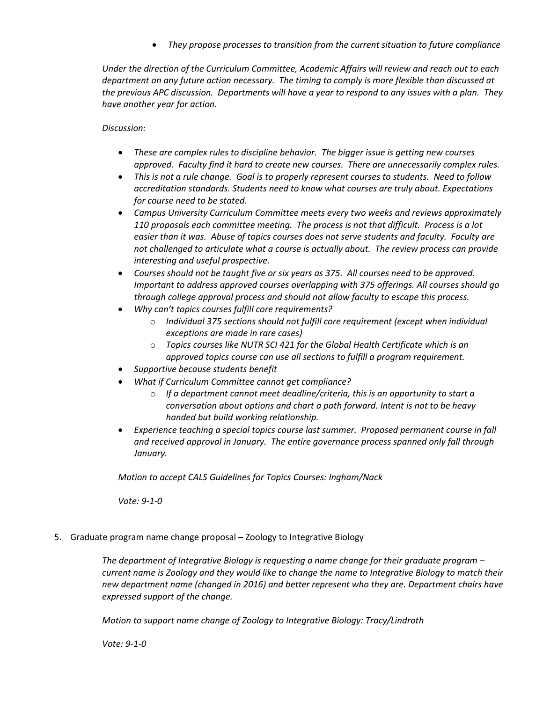• *They propose processes to transition from the current situation to future compliance*

*Under the direction of the Curriculum Committee, Academic Affairs will review and reach out to each department on any future action necessary. The timing to comply is more flexible than discussed at the previous APC discussion. Departments will have a year to respond to any issues with a plan. They have another year for action.* 

# *Discussion:*

- *These are complex rules to discipline behavior. The bigger issue is getting new courses approved. Faculty find it hard to create new courses. There are unnecessarily complex rules.*
- *This is not a rule change. Goal is to properly represent courses to students. Need to follow accreditation standards. Students need to know what courses are truly about. Expectations for course need to be stated.*
- *Campus University Curriculum Committee meets every two weeks and reviews approximately 110 proposals each committee meeting. The process is not that difficult. Process is a lot easier than it was. Abuse of topics courses does not serve students and faculty. Faculty are not challenged to articulate what a course is actually about. The review process can provide interesting and useful prospective.*
- *Courses should not be taught five or six years as 375. All courses need to be approved. Important to address approved courses overlapping with 375 offerings. All courses should go through college approval process and should not allow faculty to escape this process.*
- *Why can't topics courses fulfill core requirements?* 
	- o *Individual 375 sections should not fulfill core requirement (except when individual exceptions are made in rare cases)*
	- o *Topics courses like NUTR SCI 421 for the Global Health Certificate which is an approved topics course can use all sections to fulfill a program requirement.*
- *Supportive because students benefit*
- *What if Curriculum Committee cannot get compliance?* 
	- o *If a department cannot meet deadline/criteria, this is an opportunity to start a conversation about options and chart a path forward. Intent is not to be heavy handed but build working relationship.*
- *Experience teaching a special topics course last summer. Proposed permanent course in fall and received approval in January. The entire governance process spanned only fall through January.*

*Motion to accept CALS Guidelines for Topics Courses: Ingham/Nack*

*Vote: 9-1-0*

5. Graduate program name change proposal – Zoology to Integrative Biology

*The department of Integrative Biology is requesting a name change for their graduate program – current name is Zoology and they would like to change the name to Integrative Biology to match their new department name (changed in 2016) and better represent who they are. Department chairs have expressed support of the change.* 

*Motion to support name change of Zoology to Integrative Biology: Tracy/Lindroth*

*Vote: 9-1-0*